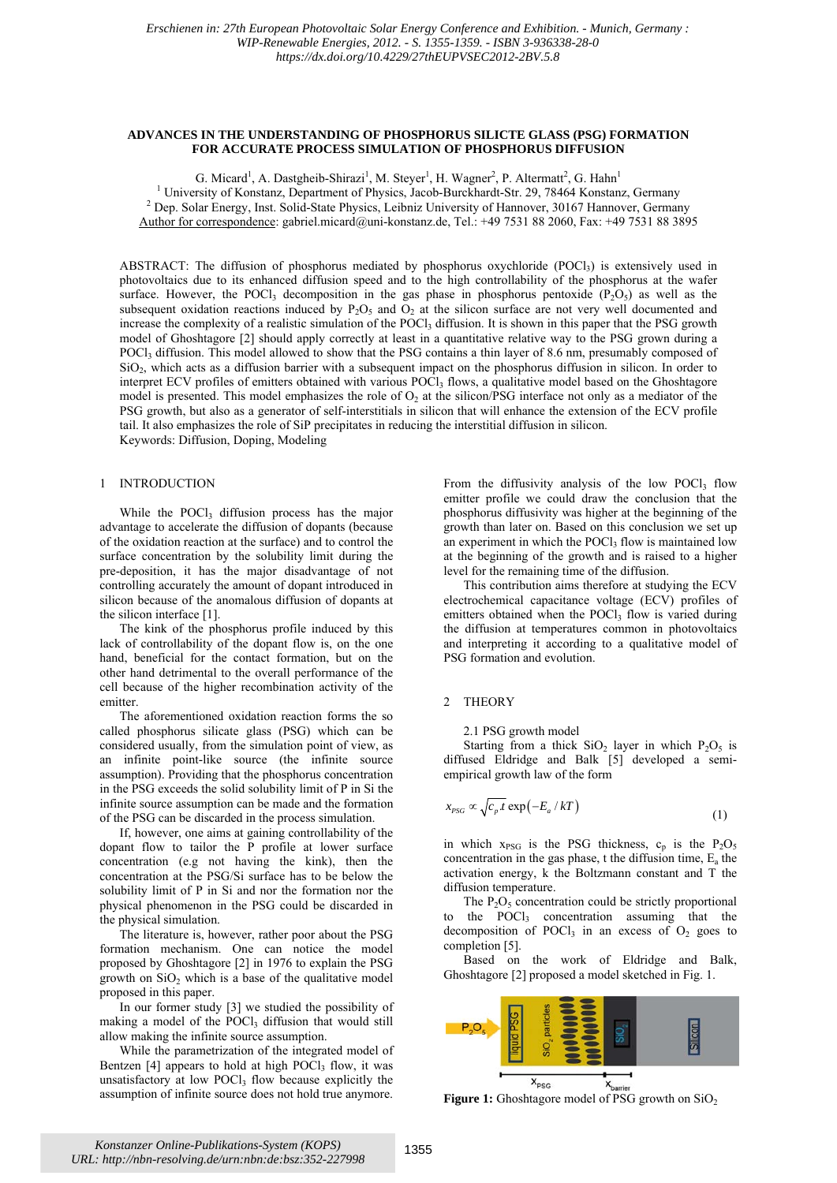## **ADVANCES IN THE UNDERSTANDING OF PHOSPHORUS SILICTE GLASS (PSG) FORMATION FOR ACCURATE PROCESS SIMULATION OF PHOSPHORUS DIFFUSION**

G. Micard<sup>1</sup>, A. Dastgheib-Shirazi<sup>1</sup>, M. Steyer<sup>1</sup>, H. Wagner<sup>2</sup>, P. Altermatt<sup>2</sup>, G. Hahn<sup>1</sup> <sup>1</sup> University of Konstanz, Department of Physics, Jacob-Burckhardt-Str. 29, 78464 Konstanz, Germany <sup>2</sup> Dep. Solar Energy, Jact Solid State Physics, Jacob-Burckhardt-Str. 29, 78464 Konstanz, Germany <sup>2</sup> Dep. Solar Energy, Inst. Solid-State Physics, Leibniz University of Hannover, 30167 Hannover, Germany Author for correspondence: gabriel.micard@uni-konstanz.de, Tel.: +49 7531 88 2060, Fax: +49 7531 88 3895

ABSTRACT: The diffusion of phosphorus mediated by phosphorus oxychloride (POCl<sub>3</sub>) is extensively used in photovoltaics due to its enhanced diffusion speed and to the high controllability of the phosphorus at the wafer surface. However, the POCl<sub>3</sub> decomposition in the gas phase in phosphorus pentoxide  $(P_2O_5)$  as well as the subsequent oxidation reactions induced by  $P_2O_5$  and  $O_2$  at the silicon surface are not very well documented and increase the complexity of a realistic simulation of the POCl<sub>3</sub> diffusion. It is shown in this paper that the PSG growth model of Ghoshtagore [2] should apply correctly at least in a quantitative relative way to the PSG grown during a POCl<sub>3</sub> diffusion. This model allowed to show that the PSG contains a thin layer of 8.6 nm, presumably composed of  $SiO<sub>2</sub>$ , which acts as a diffusion barrier with a subsequent impact on the phosphorus diffusion in silicon. In order to interpret ECV profiles of emitters obtained with various POCl<sub>3</sub> flows, a qualitative model based on the Ghoshtagore model is presented. This model emphasizes the role of  $O<sub>2</sub>$  at the silicon/PSG interface not only as a mediator of the PSG growth, but also as a generator of self-interstitials in silicon that will enhance the extension of the ECV profile tail. It also emphasizes the role of SiP precipitates in reducing the interstitial diffusion in silicon. Keywords: Diffusion, Doping, Modeling

# 1 INTRODUCTION

While the POCl<sub>3</sub> diffusion process has the major advantage to accelerate the diffusion of dopants (because of the oxidation reaction at the surface) and to control the surface concentration by the solubility limit during the pre-deposition, it has the major disadvantage of not controlling accurately the amount of dopant introduced in silicon because of the anomalous diffusion of dopants at the silicon interface [1].

The kink of the phosphorus profile induced by this lack of controllability of the dopant flow is, on the one hand, beneficial for the contact formation, but on the other hand detrimental to the overall performance of the cell because of the higher recombination activity of the emitter.

The aforementioned oxidation reaction forms the so called phosphorus silicate glass (PSG) which can be considered usually, from the simulation point of view, as an infinite point-like source (the infinite source assumption). Providing that the phosphorus concentration in the PSG exceeds the solid solubility limit of P in Si the infinite source assumption can be made and the formation of the PSG can be discarded in the process simulation.

If, however, one aims at gaining controllability of the dopant flow to tailor the P profile at lower surface concentration (e.g not having the kink), then the concentration at the PSG/Si surface has to be below the solubility limit of P in Si and nor the formation nor the physical phenomenon in the PSG could be discarded in the physical simulation.

The literature is, however, rather poor about the PSG formation mechanism. One can notice the model proposed by Ghoshtagore [2] in 1976 to explain the PSG growth on  $SiO<sub>2</sub>$  which is a base of the qualitative model proposed in this paper.

In our former study [3] we studied the possibility of making a model of the POCl<sub>3</sub> diffusion that would still allow making the infinite source assumption.

While the parametrization of the integrated model of Bentzen  $[4]$  appears to hold at high POCl<sub>3</sub> flow, it was unsatisfactory at low  $POCl<sub>3</sub>$  flow because explicitly the assumption of infinite source does not hold true anymore.

From the diffusivity analysis of the low POCl<sub>3</sub> flow emitter profile we could draw the conclusion that the phosphorus diffusivity was higher at the beginning of the growth than later on. Based on this conclusion we set up an experiment in which the POCl<sub>3</sub> flow is maintained low at the beginning of the growth and is raised to a higher level for the remaining time of the diffusion.

This contribution aims therefore at studying the ECV electrochemical capacitance voltage (ECV) profiles of emitters obtained when the POCl<sub>3</sub> flow is varied during the diffusion at temperatures common in photovoltaics and interpreting it according to a qualitative model of PSG formation and evolution.

### 2 THEORY

2.1 PSG growth model

Starting from a thick  $SiO<sub>2</sub>$  layer in which  $P<sub>2</sub>O<sub>5</sub>$  is diffused Eldridge and Balk [5] developed a semiempirical growth law of the form

$$
x_{PSG} \propto \sqrt{c_p t} \exp(-E_a / kT) \tag{1}
$$

in which  $x_{PSG}$  is the PSG thickness,  $c_p$  is the P<sub>2</sub>O<sub>5</sub> concentration in the gas phase, t the diffusion time,  $E_a$  the activation energy, k the Boltzmann constant and T the diffusion temperature.

The  $P_2O_5$  concentration could be strictly proportional to the  $P OCl<sub>3</sub>$  concentration assuming that the decomposition of POCl<sub>3</sub> in an excess of  $O<sub>2</sub>$  goes to completion [5].

Based on the work of Eldridge and Balk, Ghoshtagore [2] proposed a model sketched in Fig. 1.



**Figure 1:** Ghoshtagore model of PSG growth on SiO<sub>2</sub>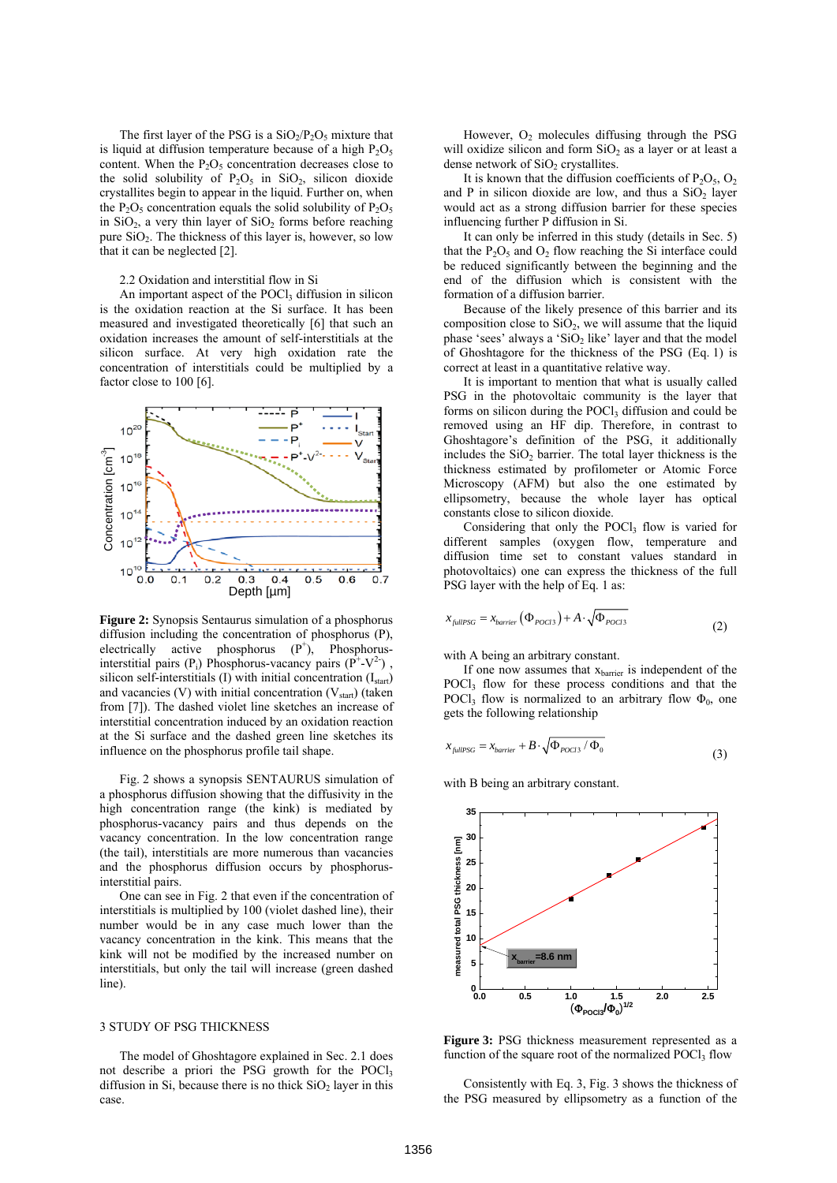The first layer of the PSG is a  $SiO<sub>2</sub>/P<sub>2</sub>O<sub>5</sub>$  mixture that is liquid at diffusion temperature because of a high  $P_2O_5$ content. When the  $P_2O_5$  concentration decreases close to the solid solubility of  $P_2O_5$  in SiO<sub>2</sub>, silicon dioxide crystallites begin to appear in the liquid. Further on, when the  $P_2O_5$  concentration equals the solid solubility of  $P_2O_5$ in  $SiO<sub>2</sub>$ , a very thin layer of  $SiO<sub>2</sub>$  forms before reaching pure  $SiO<sub>2</sub>$ . The thickness of this layer is, however, so low that it can be neglected [2].

## 2.2 Oxidation and interstitial flow in Si

An important aspect of the POCl<sub>3</sub> diffusion in silicon is the oxidation reaction at the Si surface. It has been measured and investigated theoretically [6] that such an oxidation increases the amount of self-interstitials at the silicon surface. At very high oxidation rate the concentration of interstitials could be multiplied by a factor close to 100 [6].



**Figure 2:** Synopsis Sentaurus simulation of a phosphorus diffusion including the concentration of phosphorus (P), electrically active phosphorus  $(P^+)$ , Phosphorusinterstitial pairs (P<sub>i</sub>) Phosphorus-vacancy pairs ( $\hat{P}^+$ -V<sup>2</sup>), silicon self-interstitials (I) with initial concentration  $(I<sub>start</sub>)$ and vacancies (V) with initial concentration  $(V_{start})$  (taken from [7]). The dashed violet line sketches an increase of interstitial concentration induced by an oxidation reaction at the Si surface and the dashed green line sketches its influence on the phosphorus profile tail shape.

Fig. 2 shows a synopsis SENTAURUS simulation of a phosphorus diffusion showing that the diffusivity in the high concentration range (the kink) is mediated by phosphorus-vacancy pairs and thus depends on the vacancy concentration. In the low concentration range (the tail), interstitials are more numerous than vacancies and the phosphorus diffusion occurs by phosphorusinterstitial pairs.

One can see in Fig. 2 that even if the concentration of interstitials is multiplied by 100 (violet dashed line), their number would be in any case much lower than the vacancy concentration in the kink. This means that the kink will not be modified by the increased number on interstitials, but only the tail will increase (green dashed line).

#### 3 STUDY OF PSG THICKNESS

The model of Ghoshtagore explained in Sec. 2.1 does not describe a priori the PSG growth for the POCl<sub>3</sub> diffusion in Si, because there is no thick  $SiO<sub>2</sub>$  layer in this case.

However,  $O<sub>2</sub>$  molecules diffusing through the PSG will oxidize silicon and form  $SiO<sub>2</sub>$  as a layer or at least a dense network of  $SiO<sub>2</sub>$  crystallites.

It is known that the diffusion coefficients of  $P_2O_5$ ,  $O_2$ and P in silicon dioxide are low, and thus a  $SiO<sub>2</sub>$  layer would act as a strong diffusion barrier for these species influencing further P diffusion in Si.

It can only be inferred in this study (details in Sec. 5) that the  $P_2O_5$  and  $O_2$  flow reaching the Si interface could be reduced significantly between the beginning and the end of the diffusion which is consistent with the formation of a diffusion barrier.

Because of the likely presence of this barrier and its composition close to  $SiO<sub>2</sub>$ , we will assume that the liquid phase 'sees' always a ' $SiO<sub>2</sub>$  like' layer and that the model of Ghoshtagore for the thickness of the PSG (Eq. 1) is correct at least in a quantitative relative way.

It is important to mention that what is usually called PSG in the photovoltaic community is the layer that forms on silicon during the POCl $_3$  diffusion and could be removed using an HF dip. Therefore, in contrast to Ghoshtagore's definition of the PSG, it additionally includes the  $SiO<sub>2</sub>$  barrier. The total layer thickness is the thickness estimated by profilometer or Atomic Force Microscopy (AFM) but also the one estimated by ellipsometry, because the whole layer has optical constants close to silicon dioxide.

Considering that only the POCl<sub>3</sub> flow is varied for different samples (oxygen flow, temperature and diffusion time set to constant values standard in photovoltaics) one can express the thickness of the full PSG layer with the help of Eq. 1 as:

$$
x_{\text{fullPSG}} = x_{\text{barrier}} \left( \Phi_{\text{POC13}} \right) + A \cdot \sqrt{\Phi_{\text{POC13}}} \tag{2}
$$

with A being an arbitrary constant.

If one now assumes that  $x<sub>barrier</sub>$  is independent of the POCl<sub>3</sub> flow for these process conditions and that the POCl<sub>3</sub> flow is normalized to an arbitrary flow  $\Phi_0$ , one gets the following relationship

$$
x_{\text{fullPSG}} = x_{\text{barrier}} + B \cdot \sqrt{\Phi_{\text{POC13}} / \Phi_0} \tag{3}
$$

with B being an arbitrary constant.



**Figure 3:** PSG thickness measurement represented as a function of the square root of the normalized  $POCI<sub>3</sub>$  flow

Consistently with Eq. 3, Fig. 3 shows the thickness of the PSG measured by ellipsometry as a function of the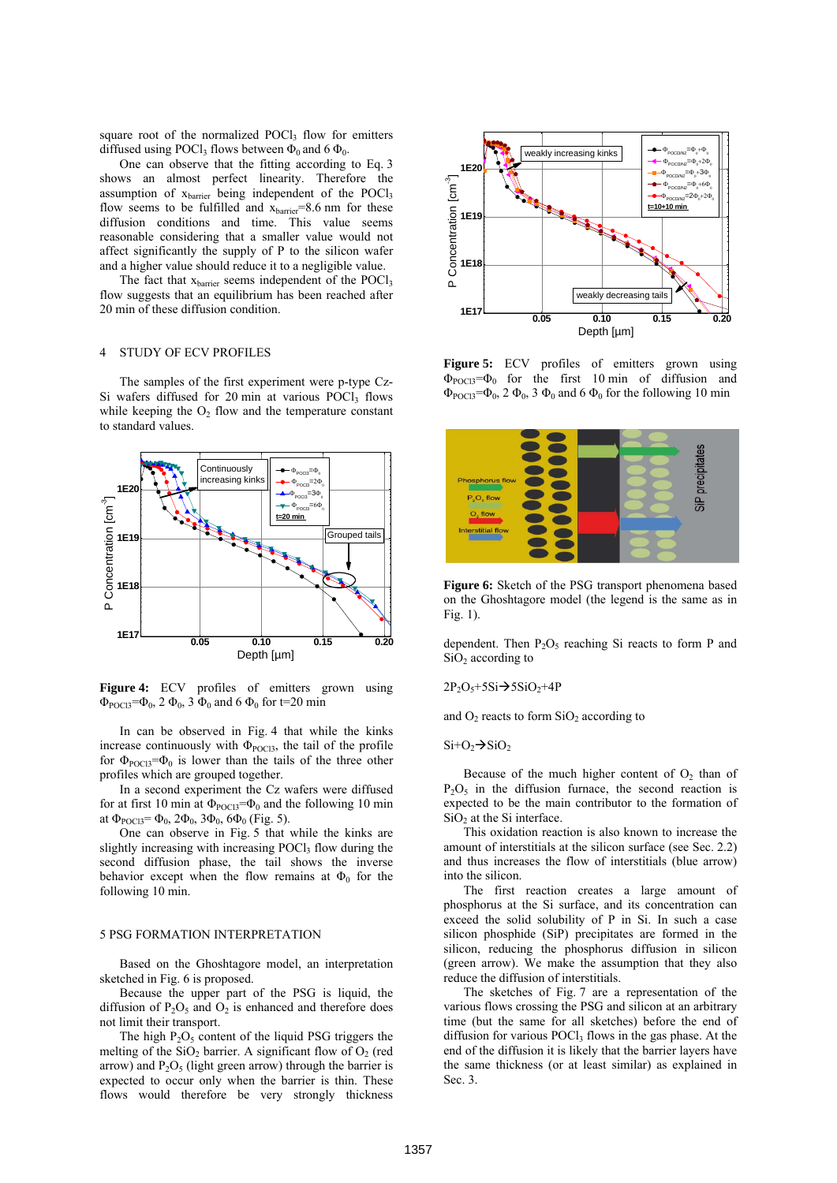square root of the normalized POCl $_3$  flow for emitters diffused using POCl<sub>3</sub> flows between  $\Phi_0$  and 6  $\Phi_0$ .

One can observe that the fitting according to Eq. 3 shows an almost perfect linearity. Therefore the assumption of  $x<sub>barrier</sub>$  being independent of the POCl<sub>3</sub> flow seems to be fulfilled and  $x<sub>barrier</sub>=8.6$  nm for these diffusion conditions and time. This value seems reasonable considering that a smaller value would not affect significantly the supply of P to the silicon wafer and a higher value should reduce it to a negligible value.

The fact that  $x<sub>barrier</sub>$  seems independent of the POCl<sub>3</sub> flow suggests that an equilibrium has been reached after 20 min of these diffusion condition.

# 4 STUDY OF ECV PROFILES

The samples of the first experiment were p-type Cz-Si wafers diffused for 20 min at various  $POCl<sub>3</sub>$  flows while keeping the  $O<sub>2</sub>$  flow and the temperature constant to standard values.



Figure 4: ECV profiles of emitters grown using  $Φ_{\text{POCI3}}=Φ_0$ , 2  $Φ_0$ , 3  $Φ_0$  and 6  $Φ_0$  for t=20 min

In can be observed in Fig. 4 that while the kinks increase continuously with  $\Phi_{\text{POCI}}$ , the tail of the profile for  $\Phi_{\text{POCH}} = \Phi_0$  is lower than the tails of the three other profiles which are grouped together.

In a second experiment the Cz wafers were diffused for at first 10 min at  $\Phi_{\text{POCI}} = \Phi_0$  and the following 10 min at  $\Phi_{\text{POCl}} = \Phi_0$ ,  $2\Phi_0$ ,  $3\Phi_0$ ,  $6\Phi_0$  (Fig. 5).

One can observe in Fig. 5 that while the kinks are slightly increasing with increasing POCl<sub>3</sub> flow during the second diffusion phase, the tail shows the inverse behavior except when the flow remains at  $\Phi_0$  for the following 10 min.

### 5 PSG FORMATION INTERPRETATION

Based on the Ghoshtagore model, an interpretation sketched in Fig. 6 is proposed.

Because the upper part of the PSG is liquid, the diffusion of  $P_2O_5$  and  $O_2$  is enhanced and therefore does not limit their transport.

The high  $P_2O_5$  content of the liquid PSG triggers the melting of the  $SiO<sub>2</sub>$  barrier. A significant flow of  $O<sub>2</sub>$  (red arrow) and  $P_2O_5$  (light green arrow) through the barrier is expected to occur only when the barrier is thin. These flows would therefore be very strongly thickness



Figure 5: ECV profiles of emitters grown using  $\Phi_{\text{POC13}} = \Phi_0$  for the first 10 min of diffusion and  $\Phi_{\text{POCI}} = \Phi_0$ , 2  $\Phi_0$ , 3  $\Phi_0$  and 6  $\Phi_0$  for the following 10 min



**Figure 6:** Sketch of the PSG transport phenomena based on the Ghoshtagore model (the legend is the same as in Fig. 1).

dependent. Then  $P_2O_5$  reaching Si reacts to form P and  $SiO<sub>2</sub>$  according to

 $2P_2O_5 + 5Si \rightarrow 5SiO_2 + 4P$ 

and  $O_2$  reacts to form  $SiO_2$  according to

 $Si+O_2 \rightarrow SiO_2$ 

Because of the much higher content of  $O<sub>2</sub>$  than of  $P_2O_5$  in the diffusion furnace, the second reaction is expected to be the main contributor to the formation of  $SiO<sub>2</sub>$  at the Si interface.

This oxidation reaction is also known to increase the amount of interstitials at the silicon surface (see Sec. 2.2) and thus increases the flow of interstitials (blue arrow) into the silicon.

The first reaction creates a large amount of phosphorus at the Si surface, and its concentration can exceed the solid solubility of P in Si. In such a case silicon phosphide (SiP) precipitates are formed in the silicon, reducing the phosphorus diffusion in silicon (green arrow). We make the assumption that they also reduce the diffusion of interstitials.

The sketches of Fig. 7 are a representation of the various flows crossing the PSG and silicon at an arbitrary time (but the same for all sketches) before the end of diffusion for various  $POCl<sub>3</sub>$  flows in the gas phase. At the end of the diffusion it is likely that the barrier layers have the same thickness (or at least similar) as explained in Sec. 3.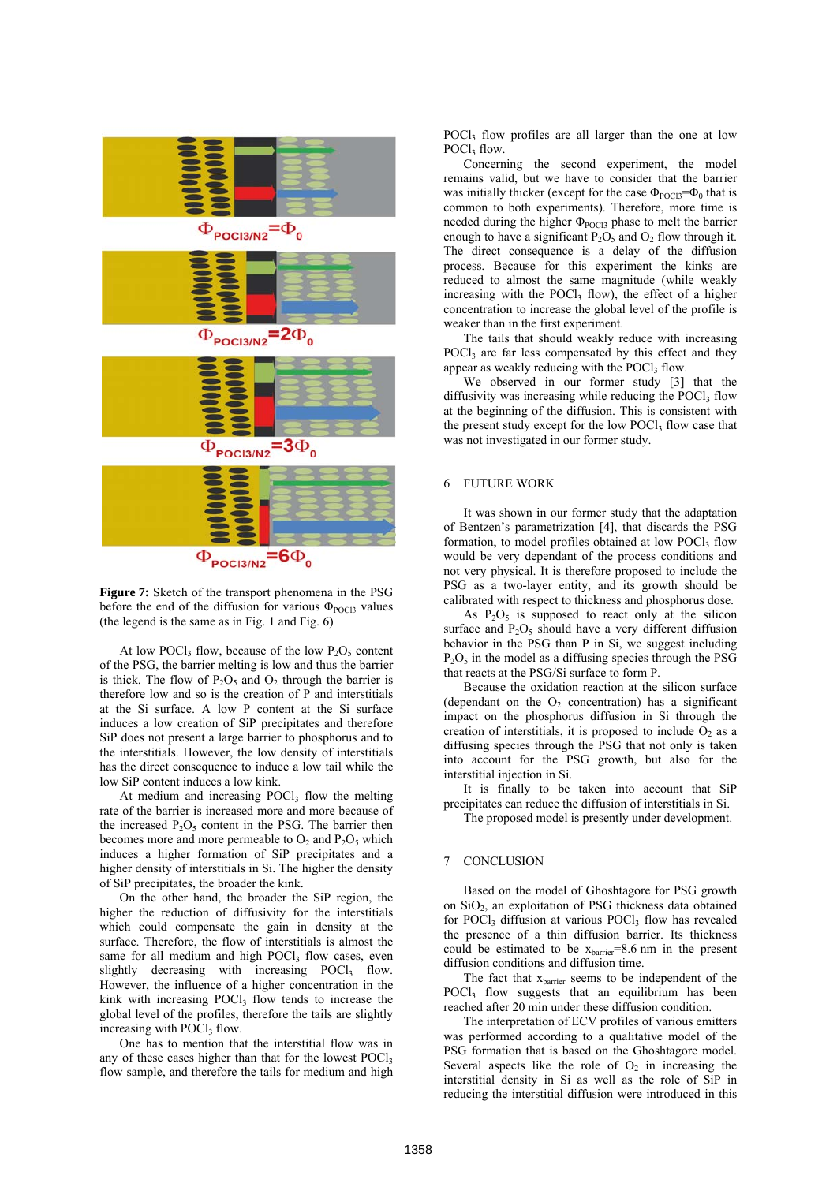

**Figure 7:** Sketch of the transport phenomena in the PSG before the end of the diffusion for various  $\Phi_{\text{POC}13}$  values (the legend is the same as in Fig. 1 and Fig. 6)

At low POCl<sub>3</sub> flow, because of the low  $P_2O_5$  content of the PSG, the barrier melting is low and thus the barrier is thick. The flow of  $P_2O_5$  and  $O_2$  through the barrier is therefore low and so is the creation of P and interstitials at the Si surface. A low P content at the Si surface induces a low creation of SiP precipitates and therefore SiP does not present a large barrier to phosphorus and to the interstitials. However, the low density of interstitials has the direct consequence to induce a low tail while the low SiP content induces a low kink.

At medium and increasing  $POCl<sub>3</sub>$  flow the melting rate of the barrier is increased more and more because of the increased  $P_2O_5$  content in the PSG. The barrier then becomes more and more permeable to  $O_2$  and  $P_2O_5$  which induces a higher formation of SiP precipitates and a higher density of interstitials in Si. The higher the density of SiP precipitates, the broader the kink.

On the other hand, the broader the SiP region, the higher the reduction of diffusivity for the interstitials which could compensate the gain in density at the surface. Therefore, the flow of interstitials is almost the same for all medium and high POCl3 flow cases, even slightly decreasing with increasing  $POCl<sub>3</sub>$  flow. However, the influence of a higher concentration in the kink with increasing POCl<sub>3</sub> flow tends to increase the global level of the profiles, therefore the tails are slightly increasing with  $POCl<sub>3</sub>$  flow.

One has to mention that the interstitial flow was in any of these cases higher than that for the lowest POCl<sub>3</sub> flow sample, and therefore the tails for medium and high

POCl<sub>3</sub> flow profiles are all larger than the one at low POCl<sub>3</sub> flow.

Concerning the second experiment, the model remains valid, but we have to consider that the barrier was initially thicker (except for the case  $\Phi_{\text{POCI}} = \Phi_0$  that is common to both experiments). Therefore, more time is needed during the higher  $\Phi_{\text{POC13}}$  phase to melt the barrier enough to have a significant  $P_2O_5$  and  $O_2$  flow through it. The direct consequence is a delay of the diffusion process. Because for this experiment the kinks are reduced to almost the same magnitude (while weakly increasing with the POCl $_3$  flow), the effect of a higher concentration to increase the global level of the profile is weaker than in the first experiment.

The tails that should weakly reduce with increasing POCl<sub>3</sub> are far less compensated by this effect and they appear as weakly reducing with the  $POCl<sub>3</sub>$  flow.

We observed in our former study [3] that the diffusivity was increasing while reducing the POCl $_3$  flow at the beginning of the diffusion. This is consistent with the present study except for the low POCl<sub>3</sub> flow case that was not investigated in our former study.

### 6 FUTURE WORK

It was shown in our former study that the adaptation of Bentzen's parametrization [4], that discards the PSG formation, to model profiles obtained at low POCl3 flow would be very dependant of the process conditions and not very physical. It is therefore proposed to include the PSG as a two-layer entity, and its growth should be calibrated with respect to thickness and phosphorus dose.

As  $P_2O_5$  is supposed to react only at the silicon surface and  $P_2O_5$  should have a very different diffusion behavior in the PSG than P in Si, we suggest including  $P_2O_5$  in the model as a diffusing species through the PSG that reacts at the PSG/Si surface to form P.

Because the oxidation reaction at the silicon surface (dependant on the  $O<sub>2</sub>$  concentration) has a significant impact on the phosphorus diffusion in Si through the creation of interstitials, it is proposed to include  $O_2$  as a diffusing species through the PSG that not only is taken into account for the PSG growth, but also for the interstitial injection in Si.

It is finally to be taken into account that SiP precipitates can reduce the diffusion of interstitials in Si.

The proposed model is presently under development.

#### 7 CONCLUSION

Based on the model of Ghoshtagore for PSG growth on  $SiO<sub>2</sub>$ , an exploitation of PSG thickness data obtained for POCl<sub>3</sub> diffusion at various POCl<sub>3</sub> flow has revealed the presence of a thin diffusion barrier. Its thickness could be estimated to be  $x<sub>barrier</sub>=8.6$  nm in the present diffusion conditions and diffusion time.

The fact that  $x<sub>barrier</sub>$  seems to be independent of the POCl<sub>3</sub> flow suggests that an equilibrium has been reached after 20 min under these diffusion condition.

The interpretation of ECV profiles of various emitters was performed according to a qualitative model of the PSG formation that is based on the Ghoshtagore model. Several aspects like the role of  $O<sub>2</sub>$  in increasing the interstitial density in Si as well as the role of SiP in reducing the interstitial diffusion were introduced in this